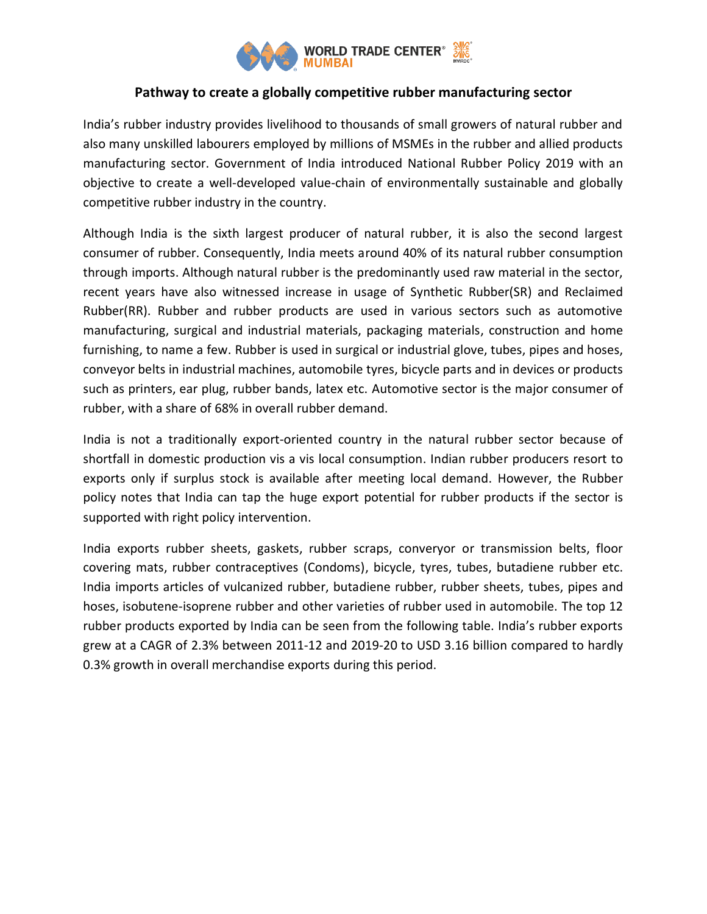

## **Pathway to create a globally competitive rubber manufacturing sector**

India's rubber industry provides livelihood to thousands of small growers of natural rubber and also many unskilled labourers employed by millions of MSMEs in the rubber and allied products manufacturing sector. Government of India introduced National Rubber Policy 2019 with an objective to create a well-developed value-chain of environmentally sustainable and globally competitive rubber industry in the country.

Although India is the sixth largest producer of natural rubber, it is also the second largest consumer of rubber. Consequently, India meets around 40% of its natural rubber consumption through imports. Although natural rubber is the predominantly used raw material in the sector, recent years have also witnessed increase in usage of Synthetic Rubber(SR) and Reclaimed Rubber(RR). Rubber and rubber products are used in various sectors such as automotive manufacturing, surgical and industrial materials, packaging materials, construction and home furnishing, to name a few. Rubber is used in surgical or industrial glove, tubes, pipes and hoses, conveyor belts in industrial machines, automobile tyres, bicycle parts and in devices or products such as printers, ear plug, rubber bands, latex etc. Automotive sector is the major consumer of rubber, with a share of 68% in overall rubber demand.

India is not a traditionally export-oriented country in the natural rubber sector because of shortfall in domestic production vis a vis local consumption. Indian rubber producers resort to exports only if surplus stock is available after meeting local demand. However, the Rubber policy notes that India can tap the huge export potential for rubber products if the sector is supported with right policy intervention.

India exports rubber sheets, gaskets, rubber scraps, converyor or transmission belts, floor covering mats, rubber contraceptives (Condoms), bicycle, tyres, tubes, butadiene rubber etc. India imports articles of vulcanized rubber, butadiene rubber, rubber sheets, tubes, pipes and hoses, isobutene-isoprene rubber and other varieties of rubber used in automobile. The top 12 rubber products exported by India can be seen from the following table. India's rubber exports grew at a CAGR of 2.3% between 2011-12 and 2019-20 to USD 3.16 billion compared to hardly 0.3% growth in overall merchandise exports during this period.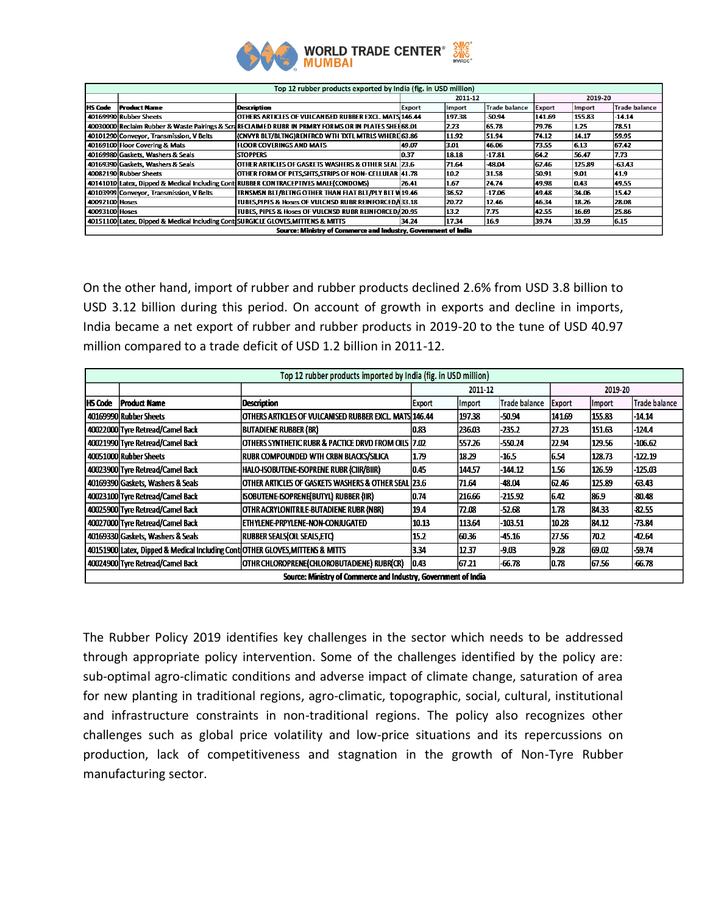

| Top 12 rubber products exported by India (fig. in USD million)  |                                                                                  |                                                                                                     |               |        |                      |               |        |                      |  |  |
|-----------------------------------------------------------------|----------------------------------------------------------------------------------|-----------------------------------------------------------------------------------------------------|---------------|--------|----------------------|---------------|--------|----------------------|--|--|
|                                                                 |                                                                                  |                                                                                                     | 2011-12       |        |                      | 2019-20       |        |                      |  |  |
| <b>HS Code</b>                                                  | <b>Product Name</b>                                                              | Description                                                                                         | <b>Export</b> | Import | <b>Trade balance</b> | <b>Export</b> | Import | <b>Trade balance</b> |  |  |
|                                                                 | 40169990 Rubber Sheets                                                           | OTHERS ARTICLES OF VULCANISED RUBBER EXCL. MATS 146.44                                              |               | 197.38 | -50.94               | 141.69        | 155.83 | $-14.14$             |  |  |
|                                                                 |                                                                                  | 40030000 Reclaim Rubber & Waste Pairings & ScraRECLAIMED RUBR IN PRMRY FORMS OR IN PLATES SHEE68.01 |               | 2.23   | 65.78                | 79.76         | 1.25   | 78.51                |  |  |
|                                                                 | 40101290 Conveyor, Transmission, V Belts                                         | (CNVYR BLT/BLTNG)RENFRCD WTH TXTL MTRLS WHERE 63.86                                                 |               | 11.92  | 51.94                | 74.12         | 14.17  | 59.95                |  |  |
|                                                                 | 40169100 Floor Covering & Mats                                                   | FLOOR COVERINGS AND MATS                                                                            | 49.07         | 3.01   | 46.06                | 73.55         | 6.13   | 67.42                |  |  |
|                                                                 | 40169980 Gaskets. Washers & Seals                                                | <b>STOPPERS</b>                                                                                     | 0.37          | 18.18  | 17.81                | 164.2         | 56.47  | 7.73                 |  |  |
|                                                                 | 40169390 Gaskets. Washers & Seals                                                | OTHER ARTICLES OF GASKETS WASHERS & OTHER SEAL 23.6                                                 |               | 71.64  | -48.04               | 62.46         | 125.89 | $-63.43$             |  |  |
|                                                                 | 40082190 Rubber Sheets                                                           | OTHER FORM OF PLTS SHTS STRIPS OF NON- CELLULAR 41.78                                               |               | 10.2   | 31.58                | 50.91         | 9.01   | 41.9                 |  |  |
|                                                                 |                                                                                  | 40141010 Latex, Dipped & Medical Including Conti RUBBER CONTRACEPTIVES MALE(CONDOMS)                | 26.41         | 1.67   | 24.74                | 49.98         | 0.43   | 49.55                |  |  |
|                                                                 | 40103999 Conveyor, Transmission, V Belts                                         | TRNSMSN BLT/BLTNG OTHER THAN FLAT BLT/PLY BLT V 19.46                                               |               | 36.52  | $-17.06$             | 49.48         | 34.06  | 15.42                |  |  |
| 40092100 Hoses                                                  |                                                                                  | TUBES.PIPES & Hoses OF VULCNSD RUBR REINFORCED/133.18                                               |               | 20.72  | 12.46                | 46.34         | 18.26  | 28.08                |  |  |
| 40093100 Hoses                                                  |                                                                                  | TUBES. PIPES & Hoses OF VULCNSD RUBR REINFORCED/20.95                                               |               | 13.2   | 7.75                 | 142.55        | 16.69  | 25.86                |  |  |
|                                                                 | 40151100 Latex, Dipped & Medical Including Cont SURGICLE GLOVES, MITTENS & MITTS |                                                                                                     | 34.24         | 1734   | 16.9                 | 39.74         | 33.59  | 6.15                 |  |  |
| Source: Ministry of Commerce and Industry, Government of India. |                                                                                  |                                                                                                     |               |        |                      |               |        |                      |  |  |

On the other hand, import of rubber and rubber products declined 2.6% from USD 3.8 billion to USD 3.12 billion during this period. On account of growth in exports and decline in imports, India became a net export of rubber and rubber products in 2019-20 to the tune of USD 40.97 million compared to a trade deficit of USD 1.2 billion in 2011-12.

| Top 12 rubber products imported by India (fig. in USD million) |                                                                               |                                                       |               |                |               |               |               |                      |  |  |
|----------------------------------------------------------------|-------------------------------------------------------------------------------|-------------------------------------------------------|---------------|----------------|---------------|---------------|---------------|----------------------|--|--|
|                                                                |                                                                               |                                                       | 2011 12       |                |               | 2019 20       |               |                      |  |  |
| <b>IIS Code</b>                                                | <b>Product Name</b>                                                           | <b>Description</b>                                    | <b>Export</b> | <b>Ilmport</b> | Trade balance | <b>Export</b> | <b>Import</b> | <b>Trade balance</b> |  |  |
|                                                                | 40169990 Rubber Sheets                                                        | OTHERS ARTICLES OF VULCANISED RUBBER EXCL MATS 146.44 |               | 197.38         | $-50.94$      | 141.69        | 155.83        | $-14.14$             |  |  |
|                                                                | 40022000 Tyre Retread/Camel Back                                              | <b>BUTADIENE RUBBER (BR)</b>                          | 0.83          | 236.03         | $-235.2$      | 27.23         | 151.63        | $-124.4$             |  |  |
|                                                                | 40021990 Tyre Retread/Camel Back                                              | OTHERS SYNTHETIC RUBR & PACTICE DRVD FROM OILS 17.02  |               | 557.26         | $-550.24$     | 22.94         | 129.56        | $-106.62$            |  |  |
|                                                                | 40051000 Rubber Sheets                                                        | RUBR COMPOUNDED WTH CRBN BLACKS/SILICA                | 1.79          | 18.29          | $-16.5$       | 6.54          | 128.73        | $-122.19$            |  |  |
|                                                                | 40023900 Tyre Retread/Camel Back                                              | HALO-ISOBUTENE-ISOPRENE RUBR (CIIR/BIIR)              | 0.45          | 144.57         | $-144.12$     | 1.56          | 126.59        | $-125.03$            |  |  |
|                                                                | 40169390 Gaskets, Washers & Seals                                             | OTHER ARTICLES OF GASKETS WASHERS & OTHER SEAL 123.6  |               | 71.64          | $-48.04$      | 62.46         | 125.89        | $-63.43$             |  |  |
|                                                                | 40023100 Tyre Retread/Camel Back                                              | ISOBUTENE-ISOPRENE(BUTYL) RUBBER (IIR)                | 0.74          | 216.66         | $-215.92$     | 16.42         | 86.9          | -80.48               |  |  |
|                                                                | 40025900 Tyre Retread/Camel Back                                              | OTHR ACRYLONITRILE-BUTADIENE RUBR (NBR)               | 19.4          | 72.08          | $-52.68$      | 1.78          | 84.33         | $-82.55$             |  |  |
|                                                                | 40027000 Tyre Retread/Camel Back                                              | ETHYLENE-PRPYLENE-NON-CONJUGATED                      | 10.13         | 113.64         | $-103.51$     | 10.28         | 84.12         | $-73.84$             |  |  |
|                                                                | 40169330 Gaskets, Washers & Seals                                             | RUBBER SEALS OIL SEALS, ETC)                          | 15.2          | 60.36          | $-45.16$      | 27.56         | 70.2          | -42.64               |  |  |
|                                                                | 40151900 Latex, Dipped & Medical Including Cont OTHER GLOVES, MITTENS & MITTS |                                                       | 3.34          | 12.37          | $-9.03$       | 9.28          | 69.02         | -59.74               |  |  |
|                                                                | 40024900 Tyre Retread/Camel Back                                              | OTHR CHLOROPRENE(CHLOROBUTADIENE) RUBR(CR)            | 0.43          | 167.21         | $-66.78$      | 0.78          | 67.56         | $-66.78$             |  |  |
| Source: Ministry of Commerce and Industry, Government of India |                                                                               |                                                       |               |                |               |               |               |                      |  |  |

The Rubber Policy 2019 identifies key challenges in the sector which needs to be addressed through appropriate policy intervention. Some of the challenges identified by the policy are: sub-optimal agro-climatic conditions and adverse impact of climate change, saturation of area for new planting in traditional regions, agro-climatic, topographic, social, cultural, institutional and infrastructure constraints in non-traditional regions. The policy also recognizes other challenges such as global price volatility and low-price situations and its repercussions on production, lack of competitiveness and stagnation in the growth of Non-Tyre Rubber manufacturing sector.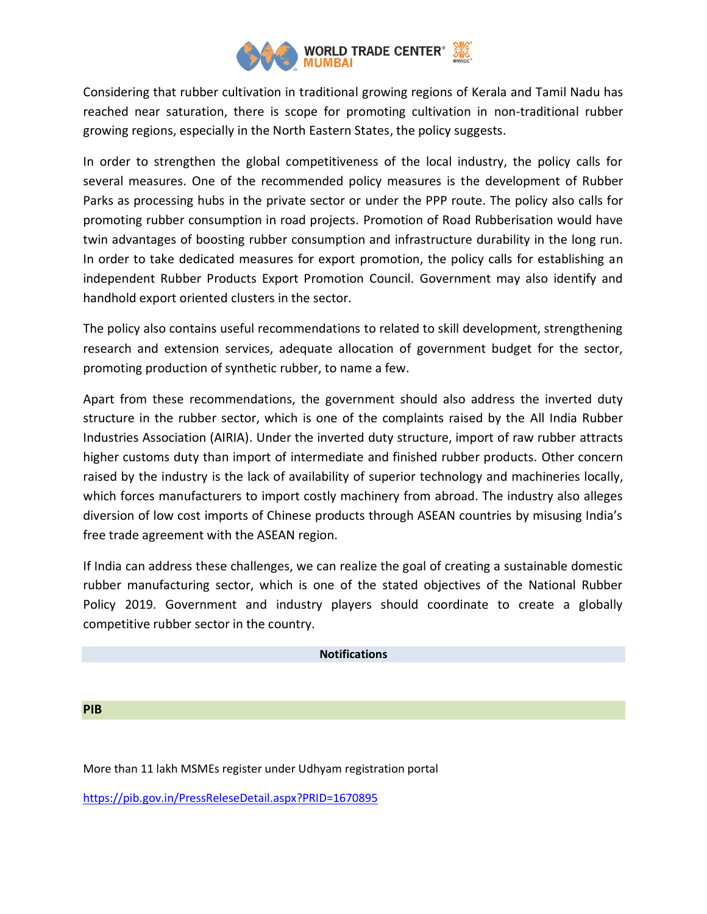

Considering that rubber cultivation in traditional growing regions of Kerala and Tamil Nadu has reached near saturation, there is scope for promoting cultivation in non-traditional rubber growing regions, especially in the North Eastern States, the policy suggests.

In order to strengthen the global competitiveness of the local industry, the policy calls for several measures. One of the recommended policy measures is the development of Rubber Parks as processing hubs in the private sector or under the PPP route. The policy also calls for promoting rubber consumption in road projects. Promotion of Road Rubberisation would have twin advantages of boosting rubber consumption and infrastructure durability in the long run. In order to take dedicated measures for export promotion, the policy calls for establishing an independent Rubber Products Export Promotion Council. Government may also identify and handhold export oriented clusters in the sector.

The policy also contains useful recommendations to related to skill development, strengthening research and extension services, adequate allocation of government budget for the sector, promoting production of synthetic rubber, to name a few.

Apart from these recommendations, the government should also address the inverted duty structure in the rubber sector, which is one of the complaints raised by the All India Rubber Industries Association (AIRIA). Under the inverted duty structure, import of raw rubber attracts higher customs duty than import of intermediate and finished rubber products. Other concern raised by the industry is the lack of availability of superior technology and machineries locally, which forces manufacturers to import costly machinery from abroad. The industry also alleges diversion of low cost imports of Chinese products through ASEAN countries by misusing India's free trade agreement with the ASEAN region.

If India can address these challenges, we can realize the goal of creating a sustainable domestic rubber manufacturing sector, which is one of the stated objectives of the National Rubber Policy 2019. Government and industry players should coordinate to create a globally competitive rubber sector in the country.

## **Notifications**

**PIB**

More than 11 lakh MSMEs register under Udhyam registration portal

<https://pib.gov.in/PressReleseDetail.aspx?PRID=1670895>